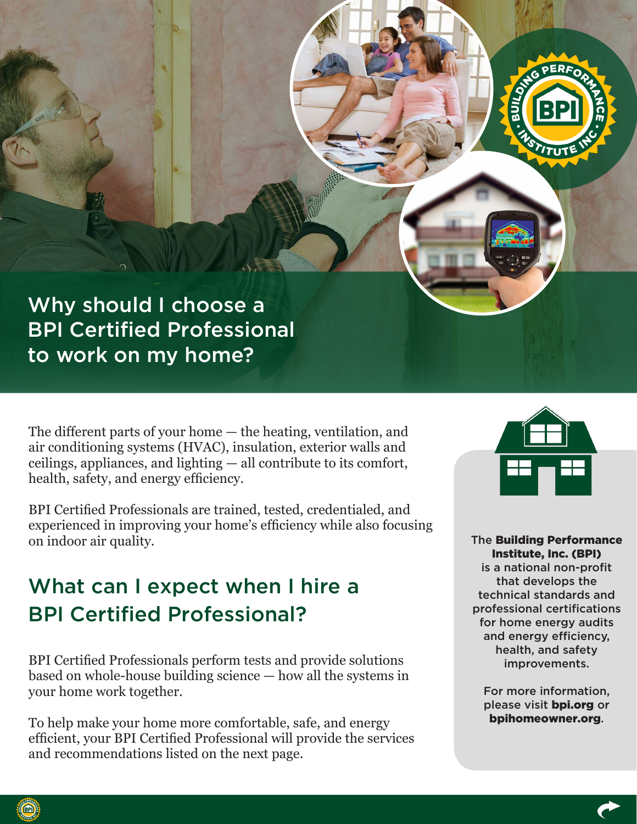Why should I choose a BPI Certified Professional to work on my home?

The different parts of your home — the heating, ventilation, and air conditioning systems (HVAC), insulation, exterior walls and ceilings, appliances, and lighting — all contribute to its comfort, health, safety, and energy efficiency.

BPI Certified Professionals are trained, tested, credentialed, and experienced in improving your home's efficiency while also focusing on indoor air quality.

# What can I expect when I hire a BPI Certified Professional?

BPI Certified Professionals perform tests and provide solutions based on whole-house building science — how all the systems in your home work together.

To help make your home more comfortable, safe, and energy efficient, your BPI Certified Professional will provide the services and recommendations listed on the next page.



The Building Performance Institute, Inc. (BPI) is a national non-profit that develops the technical standards and professional certifications for home energy audits and energy efficiency, health, and safety improvements.

For more information, please visit bpi.org or bpihomeowner.org.